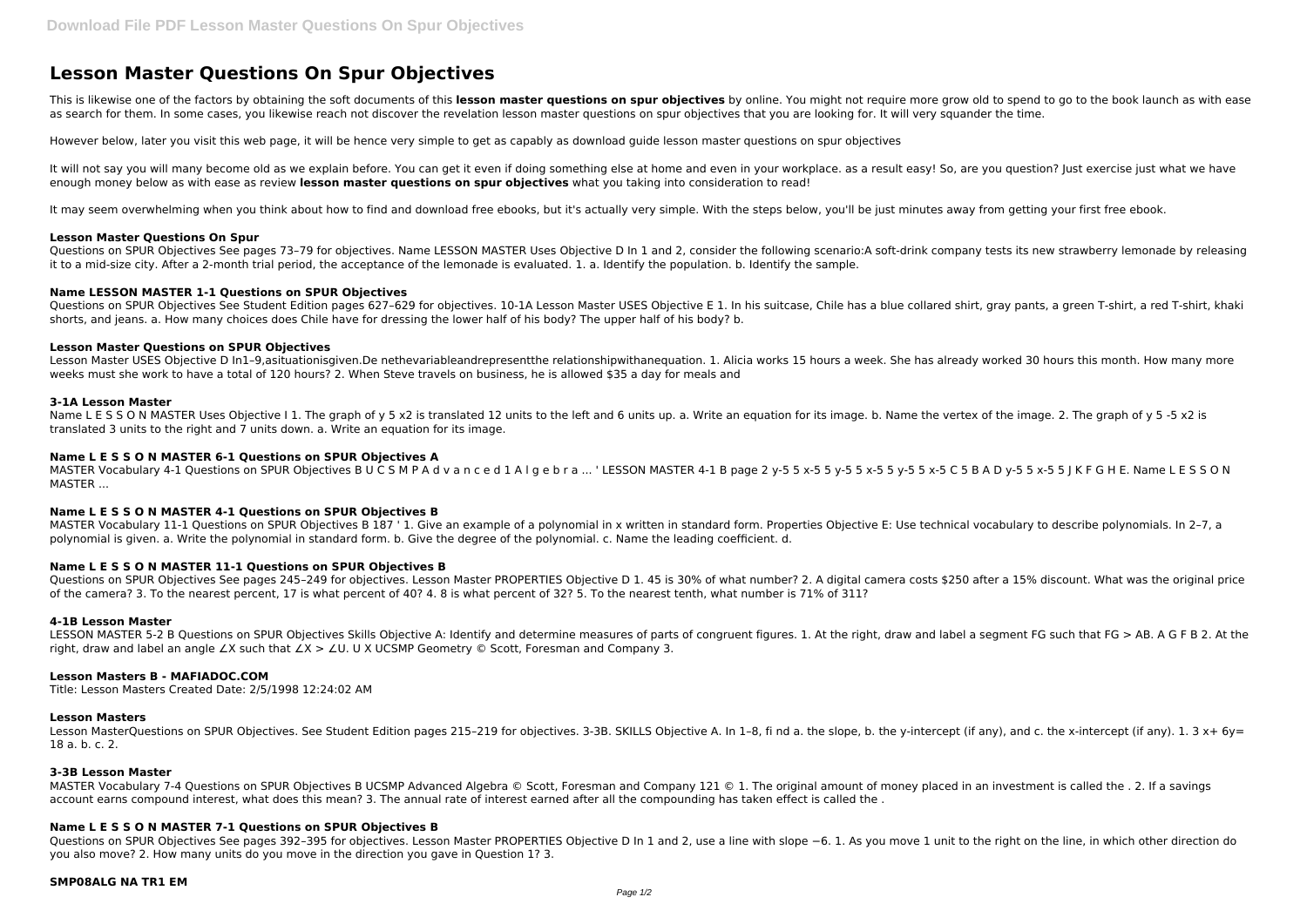# **Lesson Master Questions On Spur Objectives**

This is likewise one of the factors by obtaining the soft documents of this lesson master questions on spur objectives by online. You might not require more grow old to spend to go to the book launch as with ease as search for them. In some cases, you likewise reach not discover the revelation lesson master questions on spur objectives that you are looking for. It will very squander the time.

It will not say you will many become old as we explain before. You can get it even if doing something else at home and even in your workplace. as a result easy! So, are you question? Just exercise just what we have enough money below as with ease as review **lesson master questions on spur objectives** what you taking into consideration to read!

It may seem overwhelming when you think about how to find and download free ebooks, but it's actually very simple. With the steps below, you'll be just minutes away from getting your first free ebook.

However below, later you visit this web page, it will be hence very simple to get as capably as download guide lesson master questions on spur objectives

Questions on SPUR Objectives See pages 73-79 for objectives. Name LESSON MASTER Uses Objective D In 1 and 2, consider the following scenario:A soft-drink company tests its new strawberry lemonade by releasing it to a mid-size city. After a 2-month trial period, the acceptance of the lemonade is evaluated. 1. a. Identify the population. b. Identify the sample.

Questions on SPUR Objectives See Student Edition pages 627-629 for objectives. 10-1A Lesson Master USES Objective E 1. In his suitcase, Chile has a blue collared shirt, gray pants, a green T-shirt, a red T-shirt, khaki shorts, and jeans. a. How many choices does Chile have for dressing the lower half of his body? The upper half of his body? b.

## **Lesson Master Questions On Spur**

Name L E S S O N MASTER Uses Objective I 1. The graph of y 5 x2 is translated 12 units to the left and 6 units up. a. Write an equation for its image. b. Name the vertex of the image. 2. The graph of y 5 -5 x2 is translated 3 units to the right and 7 units down. a. Write an equation for its image.

MASTER Vocabulary 4-1 Questions on SPUR Objectives B U C S M P A d v a n c e d 1 A l g e b r a ... ' LESSON MASTER 4-1 B page 2 y-5 5 x-5 5 y-5 5 x-5 5 y-5 5 x-5 C 5 B A D y-5 5 x-5 5 J K F G H E. Name L E S S O N MASTER ...

# **Name LESSON MASTER 1-1 Questions on SPUR Objectives**

Questions on SPUR Objectives See pages 245-249 for objectives. Lesson Master PROPERTIES Objective D 1. 45 is 30% of what number? 2. A digital camera costs \$250 after a 15% discount. What was the original price of the camera? 3. To the nearest percent, 17 is what percent of 40? 4. 8 is what percent of 32? 5. To the nearest tenth, what number is 71% of 311?

#### **Lesson Master Questions on SPUR Objectives**

LESSON MASTER 5-2 B Questions on SPUR Objectives Skills Objective A: Identify and determine measures of parts of congruent figures. 1. At the right, draw and label a segment FG such that FG > AB. A G F B 2. At the right, draw and label an angle ∠X such that ∠X > ∠U. U X UCSMP Geometry © Scott, Foresman and Company 3.

Lesson Master USES Objective D In1–9,asituationisgiven.De nethevariableandrepresentthe relationshipwithanequation. 1. Alicia works 15 hours a week. She has already worked 30 hours this month. How many more weeks must she work to have a total of 120 hours? 2. When Steve travels on business, he is allowed \$35 a day for meals and

Lesson MasterQuestions on SPUR Objectives. See Student Edition pages 215-219 for objectives. 3-3B. SKILLS Objective A. In 1-8, fi nd a. the slope, b. the y-intercept (if any), and c. the x-intercept (if any). 1. 3 x+ 6y= 18 a. b. c. 2.

#### **3-1A Lesson Master**

MASTER Vocabulary 7-4 Questions on SPUR Objectives B UCSMP Advanced Algebra © Scott, Foresman and Company 121 © 1. The original amount of money placed in an investment is called the . 2. If a savings account earns compound interest, what does this mean? 3. The annual rate of interest earned after all the compounding has taken effect is called the .

Questions on SPUR Objectives See pages 392-395 for objectives. Lesson Master PROPERTIES Objective D In 1 and 2, use a line with slope −6. 1. As you move 1 unit to the right on the line, in which other direction do you also move? 2. How many units do you move in the direction you gave in Question 1? 3.

## **Name L E S S O N MASTER 6-1 Questions on SPUR Objectives A**

# **Name L E S S O N MASTER 4-1 Questions on SPUR Objectives B**

MASTER Vocabulary 11-1 Questions on SPUR Objectives B 187 ' 1. Give an example of a polynomial in x written in standard form. Properties Objective E: Use technical vocabulary to describe polynomials. In 2–7, a polynomial is given. a. Write the polynomial in standard form. b. Give the degree of the polynomial. c. Name the leading coefficient. d.

# **Name L E S S O N MASTER 11-1 Questions on SPUR Objectives B**

# **4-1B Lesson Master**

# **Lesson Masters B - MAFIADOC.COM**

Title: Lesson Masters Created Date: 2/5/1998 12:24:02 AM

#### **Lesson Masters**

#### **3-3B Lesson Master**

# **Name L E S S O N MASTER 7-1 Questions on SPUR Objectives B**

## **SMP08ALG NA TR1 EM**